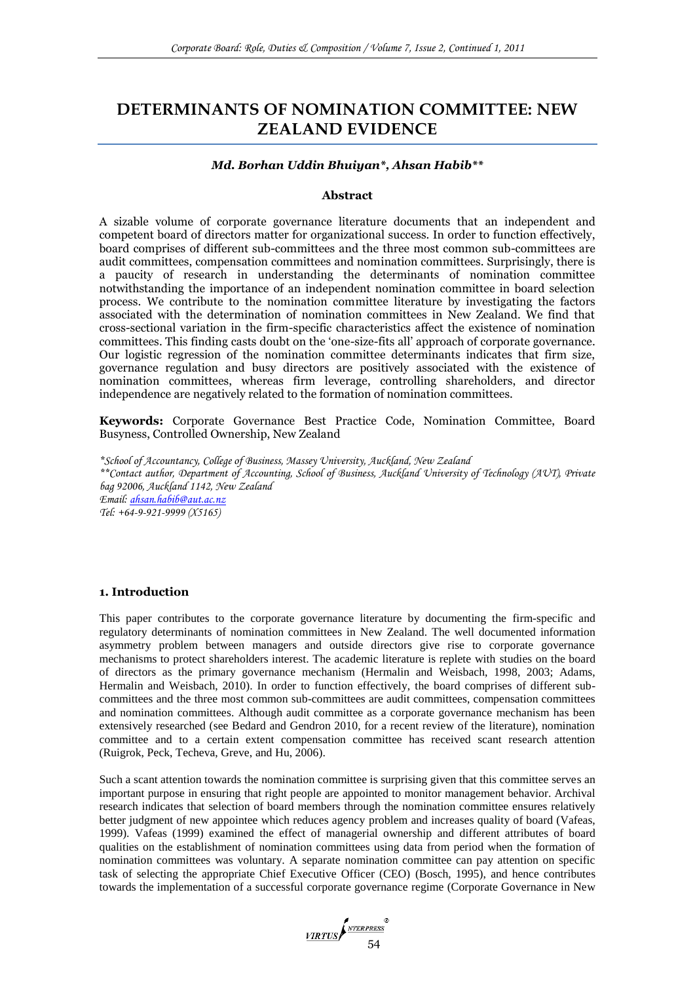# **DETERMINANTS OF NOMINATION COMMITTEE: NEW ZEALAND EVIDENCE**

#### *Md. Borhan Uddin Bhuiyan\*, Ahsan Habib\*\**

#### **Abstract**

A sizable volume of corporate governance literature documents that an independent and competent board of directors matter for organizational success. In order to function effectively, board comprises of different sub-committees and the three most common sub-committees are audit committees, compensation committees and nomination committees. Surprisingly, there is a paucity of research in understanding the determinants of nomination committee notwithstanding the importance of an independent nomination committee in board selection process. We contribute to the nomination committee literature by investigating the factors associated with the determination of nomination committees in New Zealand. We find that cross-sectional variation in the firm-specific characteristics affect the existence of nomination committees. This finding casts doubt on the "one-size-fits all" approach of corporate governance. Our logistic regression of the nomination committee determinants indicates that firm size, governance regulation and busy directors are positively associated with the existence of nomination committees, whereas firm leverage, controlling shareholders, and director independence are negatively related to the formation of nomination committees.

**Keywords:** Corporate Governance Best Practice Code, Nomination Committee, Board Busyness, Controlled Ownership, New Zealand

*\*School of Accountancy, College of Business, Massey University, Auckland, New Zealand \*\*Contact author, Department of Accounting, School of Business, Auckland University of Technology (AUT), Private bag 92006, Auckland 1142, New Zealand Email: [ahsan.habib@aut.ac.nz](mailto:ahsan.habib@aut.ac.nz) Tel: +64-9-921-9999 (X5165)*

### **1. Introduction**

This paper contributes to the corporate governance literature by documenting the firm-specific and regulatory determinants of nomination committees in New Zealand. The well documented information asymmetry problem between managers and outside directors give rise to corporate governance mechanisms to protect shareholders interest. The academic literature is replete with studies on the board of directors as the primary governance mechanism (Hermalin and Weisbach, 1998, 2003; Adams, Hermalin and Weisbach, 2010). In order to function effectively, the board comprises of different subcommittees and the three most common sub-committees are audit committees, compensation committees and nomination committees. Although audit committee as a corporate governance mechanism has been extensively researched (see Bedard and Gendron 2010, for a recent review of the literature), nomination committee and to a certain extent compensation committee has received scant research attention (Ruigrok, Peck, Techeva, Greve, and Hu, 2006).

Such a scant attention towards the nomination committee is surprising given that this committee serves an important purpose in ensuring that right people are appointed to monitor management behavior. Archival research indicates that selection of board members through the nomination committee ensures relatively better judgment of new appointee which reduces agency problem and increases quality of board (Vafeas, 1999). Vafeas (1999) examined the effect of managerial ownership and different attributes of board qualities on the establishment of nomination committees using data from period when the formation of nomination committees was voluntary. A separate nomination committee can pay attention on specific task of selecting the appropriate Chief Executive Officer (CEO) (Bosch, 1995), and hence contributes towards the implementation of a successful corporate governance regime (Corporate Governance in New

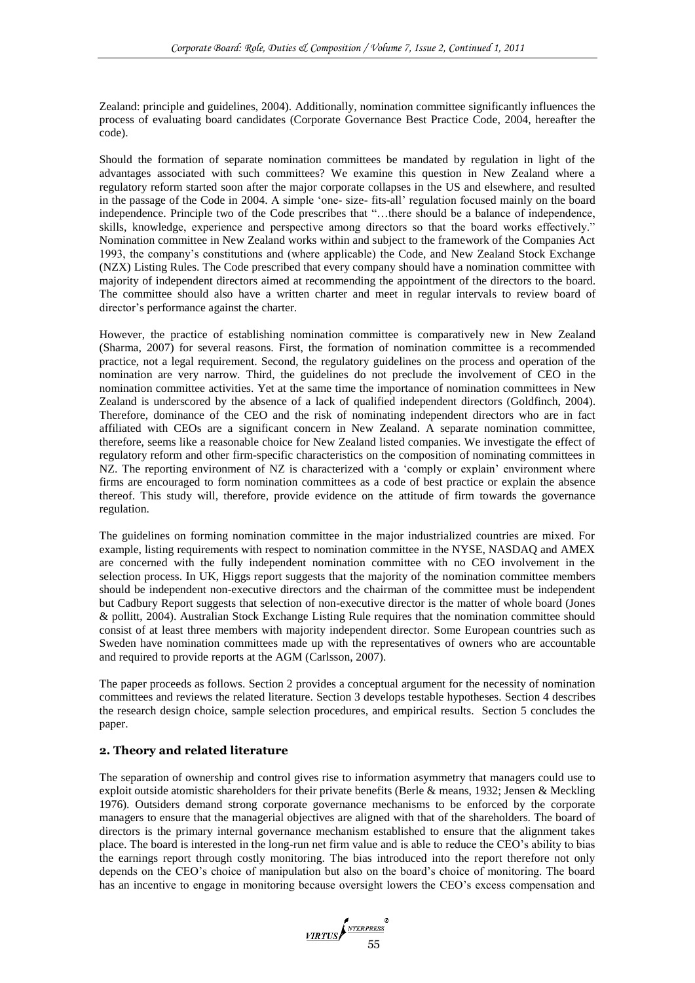Zealand: principle and guidelines, 2004). Additionally, nomination committee significantly influences the process of evaluating board candidates (Corporate Governance Best Practice Code, 2004, hereafter the code).

Should the formation of separate nomination committees be mandated by regulation in light of the advantages associated with such committees? We examine this question in New Zealand where a regulatory reform started soon after the major corporate collapses in the US and elsewhere, and resulted in the passage of the Code in 2004. A simple 'one- size- fits-all' regulation focused mainly on the board independence. Principle two of the Code prescribes that "...there should be a balance of independence, skills, knowledge, experience and perspective among directors so that the board works effectively." Nomination committee in New Zealand works within and subject to the framework of the Companies Act 1993, the company's constitutions and (where applicable) the Code, and New Zealand Stock Exchange (NZX) Listing Rules. The Code prescribed that every company should have a nomination committee with majority of independent directors aimed at recommending the appointment of the directors to the board. The committee should also have a written charter and meet in regular intervals to review board of director's performance against the charter.

However, the practice of establishing nomination committee is comparatively new in New Zealand (Sharma, 2007) for several reasons. First, the formation of nomination committee is a recommended practice, not a legal requirement. Second, the regulatory guidelines on the process and operation of the nomination are very narrow. Third, the guidelines do not preclude the involvement of CEO in the nomination committee activities. Yet at the same time the importance of nomination committees in New Zealand is underscored by the absence of a lack of qualified independent directors (Goldfinch, 2004). Therefore, dominance of the CEO and the risk of nominating independent directors who are in fact affiliated with CEOs are a significant concern in New Zealand. A separate nomination committee, therefore, seems like a reasonable choice for New Zealand listed companies. We investigate the effect of regulatory reform and other firm-specific characteristics on the composition of nominating committees in  $NZ$ . The reporting environment of  $NZ$  is characterized with a 'comply or explain' environment where firms are encouraged to form nomination committees as a code of best practice or explain the absence thereof. This study will, therefore, provide evidence on the attitude of firm towards the governance regulation.

The guidelines on forming nomination committee in the major industrialized countries are mixed. For example, listing requirements with respect to nomination committee in the NYSE, NASDAQ and AMEX are concerned with the fully independent nomination committee with no CEO involvement in the selection process. In UK, Higgs report suggests that the majority of the nomination committee members should be independent non-executive directors and the chairman of the committee must be independent but Cadbury Report suggests that selection of non-executive director is the matter of whole board (Jones & pollitt, 2004). Australian Stock Exchange Listing Rule requires that the nomination committee should consist of at least three members with majority independent director. Some European countries such as Sweden have nomination committees made up with the representatives of owners who are accountable and required to provide reports at the AGM (Carlsson, 2007).

The paper proceeds as follows. Section 2 provides a conceptual argument for the necessity of nomination committees and reviews the related literature. Section 3 develops testable hypotheses. Section 4 describes the research design choice, sample selection procedures, and empirical results. Section 5 concludes the paper.

# **2. Theory and related literature**

The separation of ownership and control gives rise to information asymmetry that managers could use to exploit outside atomistic shareholders for their private benefits (Berle & means, 1932; Jensen & Meckling 1976). Outsiders demand strong corporate governance mechanisms to be enforced by the corporate managers to ensure that the managerial objectives are aligned with that of the shareholders. The board of directors is the primary internal governance mechanism established to ensure that the alignment takes place. The board is interested in the long-run net firm value and is able to reduce the CEO's ability to bias the earnings report through costly monitoring. The bias introduced into the report therefore not only depends on the CEO's choice of manipulation but also on the board's choice of monitoring. The board has an incentive to engage in monitoring because oversight lowers the CEO's excess compensation and

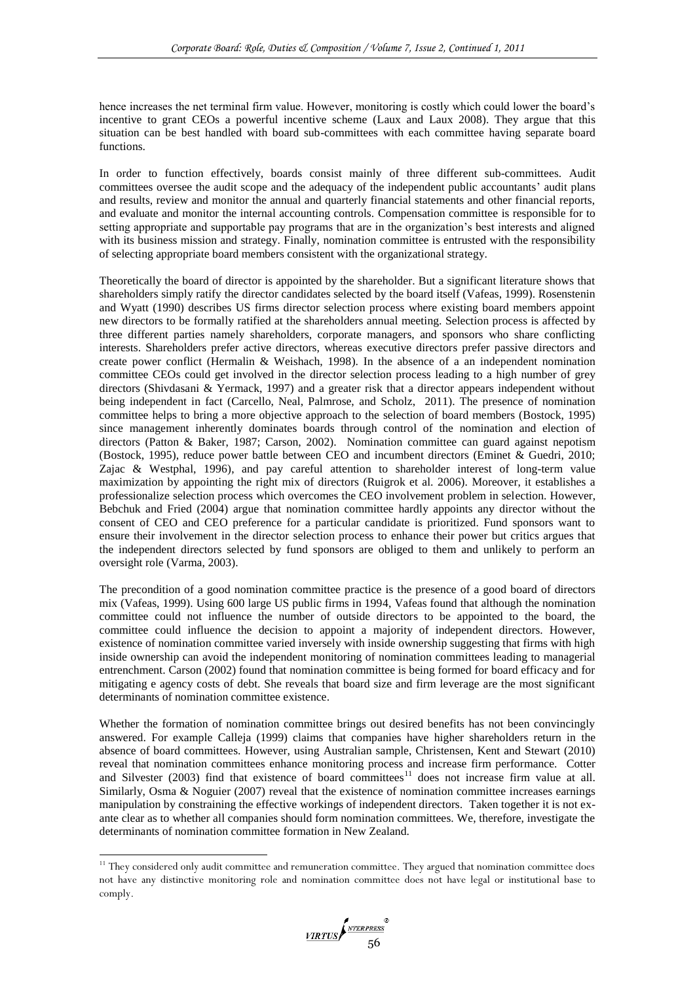hence increases the net terminal firm value. However, monitoring is costly which could lower the board's incentive to grant CEOs a powerful incentive scheme (Laux and Laux 2008). They argue that this situation can be best handled with board sub-committees with each committee having separate board functions.

In order to function effectively, boards consist mainly of three different sub-committees. Audit committees oversee the audit scope and the adequacy of the independent public accountants' audit plans and results, review and monitor the annual and quarterly financial statements and other financial reports, and evaluate and monitor the internal accounting controls. Compensation committee is responsible for to setting appropriate and supportable pay programs that are in the organization's best interests and aligned with its business mission and strategy. Finally, nomination committee is entrusted with the responsibility of selecting appropriate board members consistent with the organizational strategy.

Theoretically the board of director is appointed by the shareholder. But a significant literature shows that shareholders simply ratify the director candidates selected by the board itself (Vafeas, 1999). Rosenstenin and Wyatt (1990) describes US firms director selection process where existing board members appoint new directors to be formally ratified at the shareholders annual meeting. Selection process is affected by three different parties namely shareholders, corporate managers, and sponsors who share conflicting interests. Shareholders prefer active directors, whereas executive directors prefer passive directors and create power conflict (Hermalin & Weishach, 1998). In the absence of a an independent nomination committee CEOs could get involved in the director selection process leading to a high number of grey directors (Shivdasani & Yermack, 1997) and a greater risk that a director appears independent without being independent in fact (Carcello, Neal, Palmrose, and Scholz, 2011). The presence of nomination committee helps to bring a more objective approach to the selection of board members (Bostock, 1995) since management inherently dominates boards through control of the nomination and election of directors (Patton & Baker, 1987; Carson, 2002). Nomination committee can guard against nepotism (Bostock, 1995), reduce power battle between CEO and incumbent directors (Eminet & Guedri, 2010; Zajac & Westphal, 1996), and pay careful attention to shareholder interest of long-term value maximization by appointing the right mix of directors (Ruigrok et al. 2006). Moreover, it establishes a professionalize selection process which overcomes the CEO involvement problem in selection. However, Bebchuk and Fried (2004) argue that nomination committee hardly appoints any director without the consent of CEO and CEO preference for a particular candidate is prioritized. Fund sponsors want to ensure their involvement in the director selection process to enhance their power but critics argues that the independent directors selected by fund sponsors are obliged to them and unlikely to perform an oversight role (Varma, 2003).

The precondition of a good nomination committee practice is the presence of a good board of directors mix (Vafeas, 1999). Using 600 large US public firms in 1994, Vafeas found that although the nomination committee could not influence the number of outside directors to be appointed to the board, the committee could influence the decision to appoint a majority of independent directors. However, existence of nomination committee varied inversely with inside ownership suggesting that firms with high inside ownership can avoid the independent monitoring of nomination committees leading to managerial entrenchment. Carson (2002) found that nomination committee is being formed for board efficacy and for mitigating e agency costs of debt. She reveals that board size and firm leverage are the most significant determinants of nomination committee existence.

Whether the formation of nomination committee brings out desired benefits has not been convincingly answered. For example Calleja (1999) claims that companies have higher shareholders return in the absence of board committees. However, using Australian sample, Christensen, Kent and Stewart (2010) reveal that nomination committees enhance monitoring process and increase firm performance. Cotter and Silvester (2003) find that existence of board committees<sup>11</sup> does not increase firm value at all. Similarly, Osma & Noguier (2007) reveal that the existence of nomination committee increases earnings manipulation by constraining the effective workings of independent directors. Taken together it is not exante clear as to whether all companies should form nomination committees. We, therefore, investigate the determinants of nomination committee formation in New Zealand.

-

<sup>&</sup>lt;sup>11</sup> They considered only audit committee and remuneration committee. They argued that nomination committee does not have any distinctive monitoring role and nomination committee does not have legal or institutional base to comply.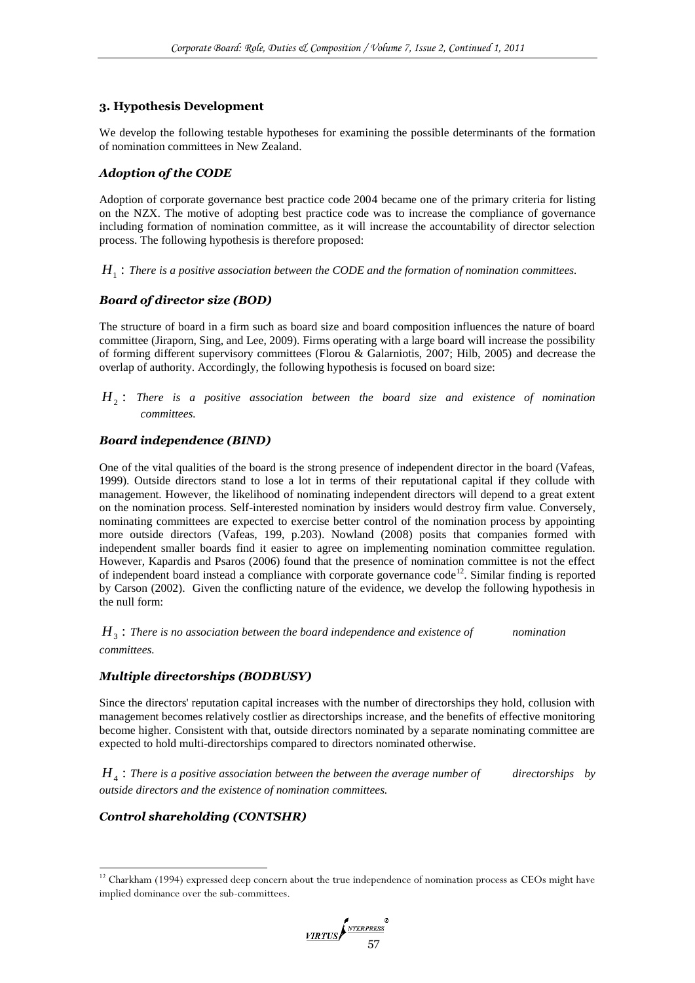# **3. Hypothesis Development**

We develop the following testable hypotheses for examining the possible determinants of the formation of nomination committees in New Zealand.

# *Adoption of the CODE*

Adoption of corporate governance best practice code 2004 became one of the primary criteria for listing on the NZX. The motive of adopting best practice code was to increase the compliance of governance including formation of nomination committee, as it will increase the accountability of director selection process. The following hypothesis is therefore proposed:

 $H_1$ : There is a positive association between the CODE and the formation of nomination committees.

# *Board of director size (BOD)*

The structure of board in a firm such as board size and board composition influences the nature of board committee (Jiraporn, Sing, and Lee, 2009). Firms operating with a large board will increase the possibility of forming different supervisory committees (Florou & Galarniotis, 2007; Hilb, 2005) and decrease the overlap of authority. Accordingly, the following hypothesis is focused on board size:

 $H_2$ : There is a positive association between the board size and existence of nomination *committees.*

# *Board independence (BIND)*

One of the vital qualities of the board is the strong presence of independent director in the board (Vafeas, 1999). Outside directors stand to lose a lot in terms of their reputational capital if they collude with management. However, the likelihood of nominating independent directors will depend to a great extent on the nomination process. Self-interested nomination by insiders would destroy firm value. Conversely, nominating committees are expected to exercise better control of the nomination process by appointing more outside directors (Vafeas, 199, p.203). Nowland (2008) posits that companies formed with independent smaller boards find it easier to agree on implementing nomination committee regulation. However, Kapardis and Psaros (2006) found that the presence of nomination committee is not the effect of independent board instead a compliance with corporate governance code<sup>12</sup>. Similar finding is reported by Carson (2002). Given the conflicting nature of the evidence, we develop the following hypothesis in the null form:

 $H<sub>3</sub>$ : There is no association between the board independence and existence of **nomination** *committees.*

# *Multiple directorships (BODBUSY)*

Since the directors' reputation capital increases with the number of directorships they hold, collusion with management becomes relatively costlier as directorships increase, and the benefits of effective monitoring become higher. Consistent with that, outside directors nominated by a separate nominating committee are expected to hold multi-directorships compared to directors nominated otherwise.

 $H<sub>4</sub>$ : There is a positive association between the between the average number of airectorships by *outside directors and the existence of nomination committees.*

# *Control shareholding (CONTSHR)*

-

<sup>&</sup>lt;sup>12</sup> Charkham (1994) expressed deep concern about the true independence of nomination process as CEOs might have implied dominance over the sub-committees.

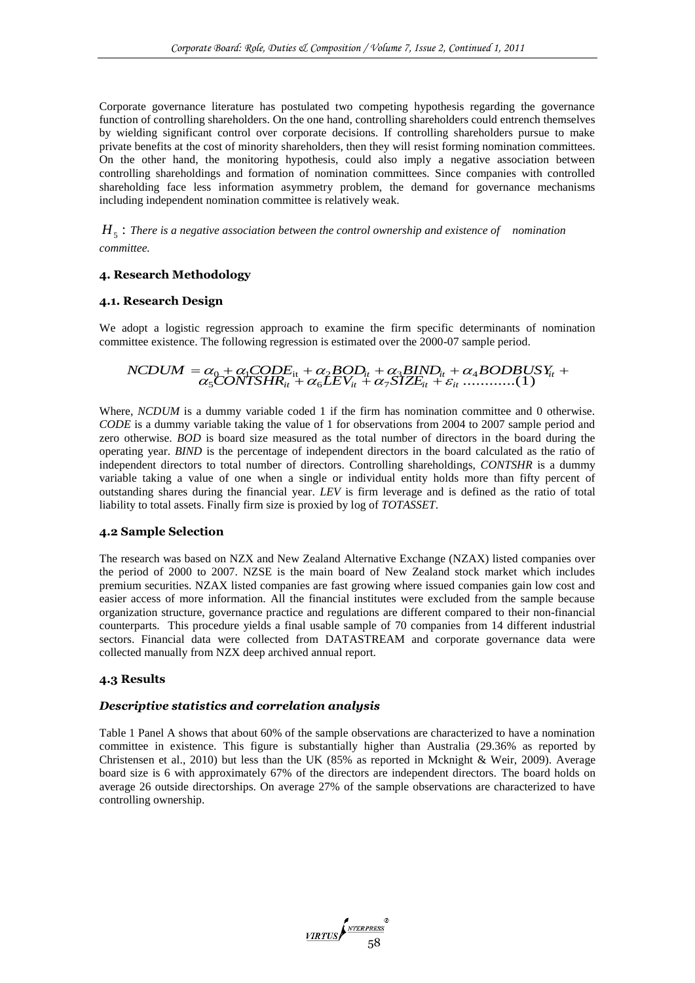Corporate governance literature has postulated two competing hypothesis regarding the governance function of controlling shareholders. On the one hand, controlling shareholders could entrench themselves by wielding significant control over corporate decisions. If controlling shareholders pursue to make private benefits at the cost of minority shareholders, then they will resist forming nomination committees. On the other hand, the monitoring hypothesis, could also imply a negative association between controlling shareholdings and formation of nomination committees. Since companies with controlled shareholding face less information asymmetry problem, the demand for governance mechanisms including independent nomination committee is relatively weak.

 $H<sub>5</sub>$ : There is a negative association between the control ownership and existence of *nomination committee.*

### **4. Research Methodology**

#### **4.1. Research Design**

We adopt a logistic regression approach to examine the firm specific determinants of nomination committee existence. The following regression is estimated over the 2000-07 sample period.

#### $a_5$   $a_6 + a_6$   $a_7$   $a_8$   $X_7$   $X_8$   $X_9$   $X_9$   $X_9$   $X_9$   $X_9$   $X_9$   $X_9$   $X_9$   $X_9$   $X_9$   $X_9$   $X_9$   $X_9$   $X_9$   $X_9$   $X_9$   $X_9$   $X_9$   $X_9$   $X_9$   $X_9$   $X_9$   $X_9$   $X_9$   $X_9$   $X_9$   $X_9$   $X_9$   $X_9$   $X_9$   $\begin{aligned} NCDUM = & \alpha_0 + \alpha_1CODE_{it} + \alpha_2BOD_{it} + \alpha_3BIND_{it} + \alpha_4BODBUSY_{it} \\ & \alpha_5CONTSHR_{it} + \alpha_6LEV_{it} + \alpha_7SIZE_{it} + \varepsilon_{it} \dots \dots \dots \dots \tag{1} \end{aligned}$  $\alpha_0 + \alpha_1 CODE_{it} + \alpha_2 BOD_{it} + \alpha_3 BIND_{it} + \alpha_4 \times \frac{1}{12} CONTSHR_{it} + \alpha_5 LEV_{it} + \alpha_7 SIZE_{it} + \varepsilon_{it} ...$  $= \alpha_0 + \alpha_1 CODE_{it} + \alpha_2 BOD_{it} + \alpha_3 BIND_{it} + \alpha_4 BODBUSY_{it} +$

Where, *NCDUM* is a dummy variable coded 1 if the firm has nomination committee and 0 otherwise. *CODE* is a dummy variable taking the value of 1 for observations from 2004 to 2007 sample period and zero otherwise. *BOD* is board size measured as the total number of directors in the board during the operating year. *BIND* is the percentage of independent directors in the board calculated as the ratio of independent directors to total number of directors. Controlling shareholdings, *CONTSHR* is a dummy variable taking a value of one when a single or individual entity holds more than fifty percent of outstanding shares during the financial year. *LEV* is firm leverage and is defined as the ratio of total liability to total assets. Finally firm size is proxied by log of *TOTASSET*.

#### **4.2 Sample Selection**

The research was based on NZX and New Zealand Alternative Exchange (NZAX) listed companies over the period of 2000 to 2007. NZSE is the main board of New Zealand stock market which includes premium securities. NZAX listed companies are fast growing where issued companies gain low cost and easier access of more information. All the financial institutes were excluded from the sample because organization structure, governance practice and regulations are different compared to their non-financial counterparts. This procedure yields a final usable sample of 70 companies from 14 different industrial sectors. Financial data were collected from DATASTREAM and corporate governance data were collected manually from NZX deep archived annual report.

### **4.3 Results**

#### *Descriptive statistics and correlation analysis*

Table 1 Panel A shows that about 60% of the sample observations are characterized to have a nomination committee in existence. This figure is substantially higher than Australia (29.36% as reported by Christensen et al., 2010) but less than the UK (85% as reported in Mcknight & Weir, 2009). Average board size is 6 with approximately 67% of the directors are independent directors. The board holds on average 26 outside directorships. On average 27% of the sample observations are characterized to have controlling ownership.

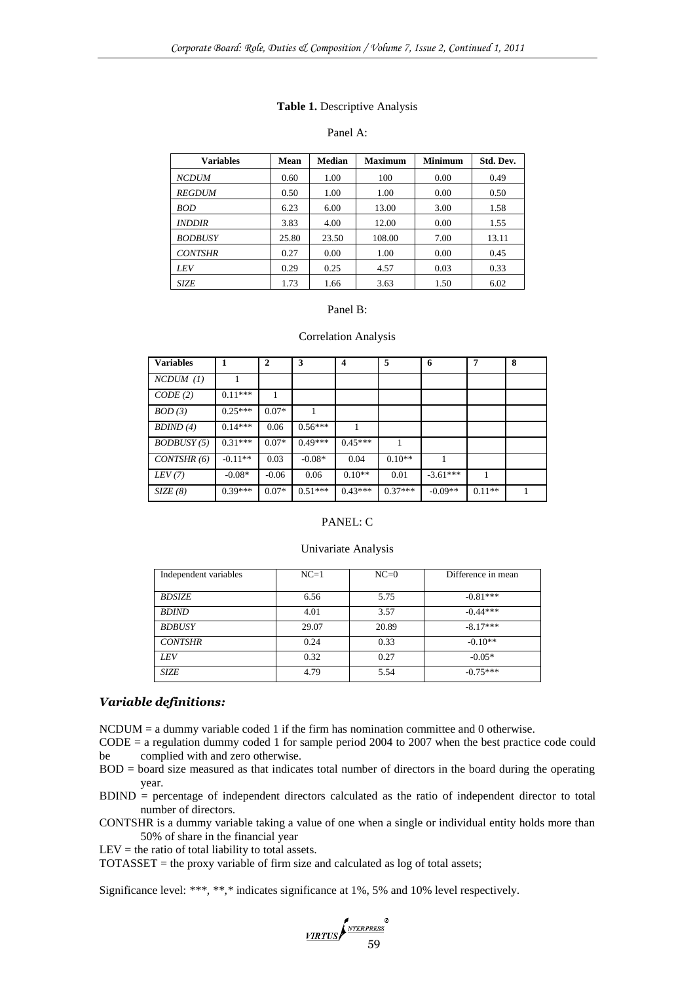#### **Table 1.** Descriptive Analysis

### Panel A:

| <b>Variables</b>     | Mean  | <b>Median</b> | <b>Maximum</b> | <b>Minimum</b> | Std. Dev. |
|----------------------|-------|---------------|----------------|----------------|-----------|
| <b>NCDUM</b>         | 0.60  | 1.00          | 100            | 0.00           | 0.49      |
| <b>REGDUM</b>        | 0.50  | 1.00          | 1.00           | 0.00           | 0.50      |
| <b>BOD</b>           | 6.23  | 6.00          | 13.00          | 3.00           | 1.58      |
| <i><b>INDDIR</b></i> | 3.83  | 4.00          | 12.00          | 0.00           | 1.55      |
| <b>BODBUSY</b>       | 25.80 | 23.50         | 108.00         | 7.00           | 13.11     |
| <b>CONTSHR</b>       | 0.27  | 0.00          | 1.00           | 0.00           | 0.45      |
| <b>LEV</b>           | 0.29  | 0.25          | 4.57           | 0.03           | 0.33      |
| <b>SIZE</b>          | 1.73  | 1.66          | 3.63           | 1.50           | 6.02      |

#### Panel B:

#### Correlation Analysis

| <b>Variables</b> | 1         | $\overline{2}$ | 3         | $\boldsymbol{4}$ | 5         | 6          | 7        | 8 |
|------------------|-----------|----------------|-----------|------------------|-----------|------------|----------|---|
| $NCDUM$ (1)      |           |                |           |                  |           |            |          |   |
| CODE(2)          | $0.11***$ |                |           |                  |           |            |          |   |
| BOD(3)           | $0.25***$ | $0.07*$        |           |                  |           |            |          |   |
| BDIND(4)         | $0.14***$ | 0.06           | $0.56***$ |                  |           |            |          |   |
| BODBUSY(5)       | $0.31***$ | $0.07*$        | $0.49***$ | $0.45***$        |           |            |          |   |
| CONTSHR(6)       | $-0.11**$ | 0.03           | $-0.08*$  | 0.04             | $0.10**$  |            |          |   |
| LEV(7)           | $-0.08*$  | $-0.06$        | 0.06      | $0.10**$         | 0.01      | $-3.61***$ | 1        |   |
| SIZE(8)          | $0.39***$ | $0.07*$        | $0.51***$ | $0.43***$        | $0.37***$ | $-0.09**$  | $0.11**$ |   |

# PANEL: C

#### Univariate Analysis

| Independent variables | $NC=1$ | $NC=0$ | Difference in mean |
|-----------------------|--------|--------|--------------------|
| <b>BDSIZE</b>         | 6.56   | 5.75   | $-0.81***$         |
| <b>BDIND</b>          | 4.01   | 3.57   | $-0.44***$         |
| <b>BDBUSY</b>         | 29.07  | 20.89  | $-8.17***$         |
| <b>CONTSHR</b>        | 0.24   | 0.33   | $-0.10**$          |
| LEV                   | 0.32   | 0.27   | $-0.05*$           |
| SIZE                  | 4.79   | 5.54   | $-0.75***$         |

#### *Variable definitions:*

NCDUM = a dummy variable coded 1 if the firm has nomination committee and 0 otherwise.

CODE = a regulation dummy coded 1 for sample period 2004 to 2007 when the best practice code could be complied with and zero otherwise.

- BOD = board size measured as that indicates total number of directors in the board during the operating year.
- BDIND = percentage of independent directors calculated as the ratio of independent director to total number of directors.

CONTSHR is a dummy variable taking a value of one when a single or individual entity holds more than 50% of share in the financial year

 $LEV =$  the ratio of total liability to total assets.

TOTASSET = the proxy variable of firm size and calculated as log of total assets;

Significance level: *\*\*\*, \*\*,\** indicates significance at 1%, 5% and 10% level respectively.

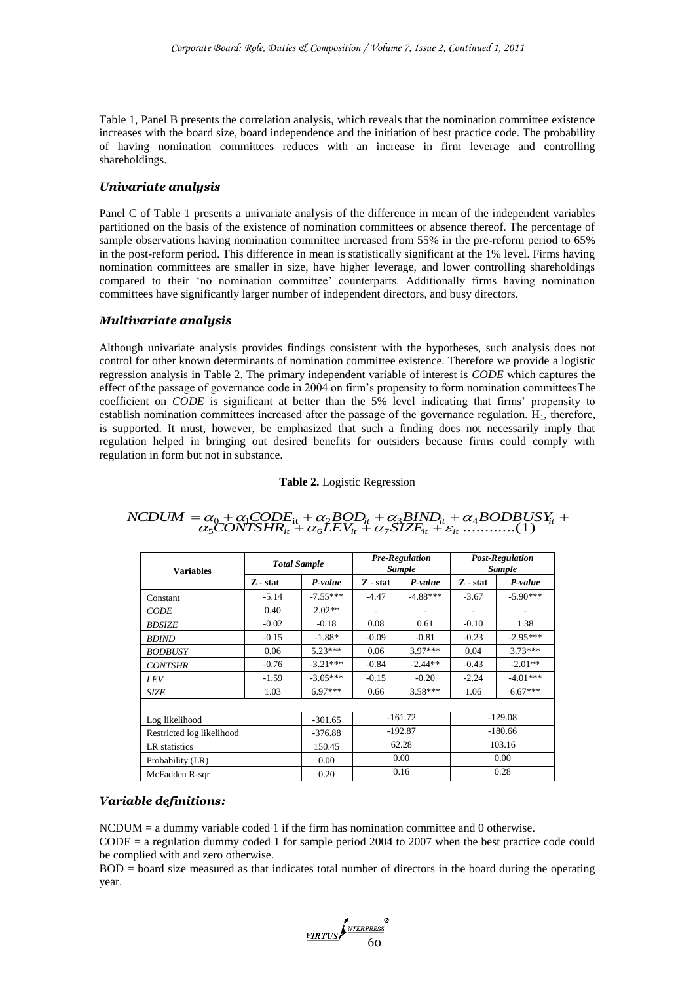Table 1, Panel B presents the correlation analysis, which reveals that the nomination committee existence increases with the board size, board independence and the initiation of best practice code. The probability of having nomination committees reduces with an increase in firm leverage and controlling shareholdings.

# *Univariate analysis*

Panel C of Table 1 presents a univariate analysis of the difference in mean of the independent variables partitioned on the basis of the existence of nomination committees or absence thereof. The percentage of sample observations having nomination committee increased from 55% in the pre-reform period to 65% in the post-reform period. This difference in mean is statistically significant at the 1% level. Firms having nomination committees are smaller in size, have higher leverage, and lower controlling shareholdings compared to their 'no nomination committee' counterparts. Additionally firms having nomination committees have significantly larger number of independent directors, and busy directors.

### *Multivariate analysis*

Although univariate analysis provides findings consistent with the hypotheses, such analysis does not control for other known determinants of nomination committee existence. Therefore we provide a logistic regression analysis in Table 2. The primary independent variable of interest is *CODE* which captures the effect of the passage of governance code in 2004 on firm's propensity to form nomination committeesThe coefficient on *CODE* is significant at better than the 5% level indicating that firms' propensity to establish nomination committees increased after the passage of the governance regulation.  $H_1$ , therefore, is supported. It must, however, be emphasized that such a finding does not necessarily imply that regulation helped in bringing out desired benefits for outsiders because firms could comply with regulation in form but not in substance.

#### **Table 2.** Logistic Regression

| <b>Variables</b>          | <b>Total Sample</b> |            | <b>Pre-Regulation</b><br><b>Sample</b> |            | <b>Post-Regulation</b><br><b>Sample</b> |            |  |
|---------------------------|---------------------|------------|----------------------------------------|------------|-----------------------------------------|------------|--|
|                           | Z - stat            | P-value    | Z - stat                               | P-value    | Z - stat                                | P-value    |  |
| Constant                  | $-5.14$             | $-7.55***$ | $-4.47$                                | $-4.88***$ | $-3.67$                                 | $-5.90***$ |  |
| <i>CODE</i>               | 0.40                | $2.02**$   | $\overline{\phantom{a}}$               |            | ٠                                       |            |  |
| <b>BDSIZE</b>             | $-0.02$             | $-0.18$    | 0.08                                   | 0.61       | $-0.10$                                 | 1.38       |  |
| <b>BDIND</b>              | $-0.15$             | $-1.88*$   | $-0.09$                                | $-0.81$    | $-0.23$                                 | $-2.95***$ |  |
| <b>BODBUSY</b>            | 0.06                | $5.23***$  | 0.06                                   | $3.97***$  | 0.04                                    | $3.73***$  |  |
| <b>CONTSHR</b>            | $-0.76$             | $-3.21***$ | $-0.84$                                | $-2.44**$  | $-0.43$                                 | $-2.01**$  |  |
| LEV                       | $-1.59$             | $-3.05***$ | $-0.15$                                | $-0.20$    | $-2.24$                                 | $-4.01***$ |  |
| <b>SIZE</b>               | 1.03                | $6.97***$  | 0.66                                   | $3.58***$  | 1.06                                    | $6.67***$  |  |
|                           |                     |            |                                        |            |                                         |            |  |
| Log likelihood            |                     | $-301.65$  | $-161.72$                              |            | $-129.08$                               |            |  |
| Restricted log likelihood |                     | $-376.88$  | $-192.87$                              |            | $-180.66$                               |            |  |
| LR statistics             | 150.45              |            | 62.28                                  |            | 103.16                                  |            |  |
| Probability (LR)          |                     | 0.00       | 0.00                                   |            | 0.00                                    |            |  |
| McFadden R-sqr            |                     | 0.20       |                                        | 0.16       | 0.28                                    |            |  |

#### $a_5$   $a_6 + a_6$   $a_7$   $a_8$   $X_7$   $X_8$   $X_9$   $X_9$   $X_9$   $X_9$   $X_9$   $X_9$   $X_9$   $X_9$   $X_9$   $X_9$   $X_9$   $X_9$   $X_9$   $X_9$   $X_9$   $X_9$   $X_9$   $X_9$   $X_9$   $X_9$   $X_9$   $X_9$   $X_9$   $X_9$   $X_9$   $X_9$   $X_9$   $X_9$   $X_9$   $X_9$   $\begin{aligned} NCDUM = & \alpha_0 + \alpha_1CODE_{it} + \alpha_2BOD_{it} + \alpha_3BIND_{it} + \alpha_4BODBUSY_{it} \\ & \alpha_5CONTSHR_{it} + \alpha_6LEV_{it} + \alpha_7SIZE_{it} + \varepsilon_{it} \dots \dots \dots \dots \tag{1} \end{aligned}$  $\alpha_0 + \alpha_1 CODE_{\mathrm{it}} + \alpha_2 BOD_{\mathrm{it}} + \alpha_3 BIND_{\mathrm{it}} + \alpha_4 \times \mathrm{CONTSHR}_{\mathrm{it}} + \alpha_5 LEV_{\mathrm{it}} + \alpha_7 SIZE_{\mathrm{it}} + \varepsilon_{\mathrm{it}} \ldots$  $= \alpha_0 + \alpha_1 CODE_{it} + \alpha_2 BOD_{it} + \alpha_3 BIND_{it} + \alpha_4 BODBUSY_{it} +$

### *Variable definitions:*

 $NCDUM = a$  dummy variable coded 1 if the firm has nomination committee and 0 otherwise.

 $CODE = a regulation dummy coded 1 for sample period 2004 to 2007 when the best practice code could$ be complied with and zero otherwise.

BOD = board size measured as that indicates total number of directors in the board during the operating year.

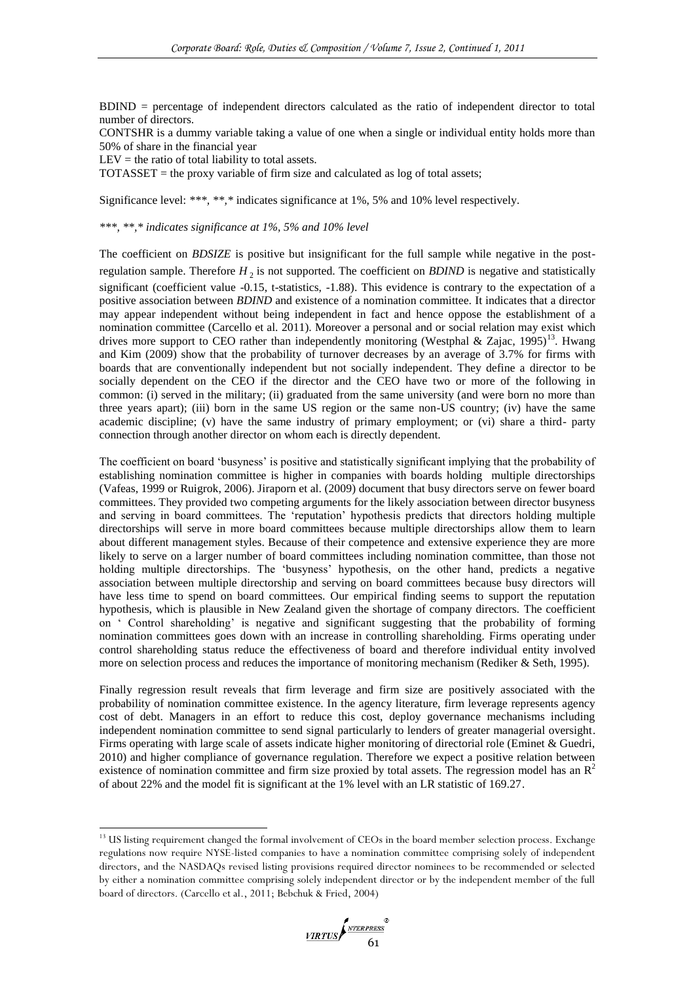BDIND = percentage of independent directors calculated as the ratio of independent director to total number of directors.

CONTSHR is a dummy variable taking a value of one when a single or individual entity holds more than 50% of share in the financial year

 $LEV =$  the ratio of total liability to total assets.

 $\overline{a}$ 

TOTASSET = the proxy variable of firm size and calculated as log of total assets;

Significance level: *\*\*\*, \*\*,\** indicates significance at 1%, 5% and 10% level respectively.

*\*\*\*, \*\*,\* indicates significance at 1%, 5% and 10% level*

The coefficient on *BDSIZE* is positive but insignificant for the full sample while negative in the postregulation sample. Therefore *H* 2 is not supported. The coefficient on *BDIND* is negative and statistically significant (coefficient value -0.15, t-statistics, -1.88). This evidence is contrary to the expectation of a positive association between *BDIND* and existence of a nomination committee. It indicates that a director may appear independent without being independent in fact and hence oppose the establishment of a nomination committee (Carcello et al. 2011). Moreover a personal and or social relation may exist which drives more support to CEO rather than independently monitoring (Westphal & Zajac, 1995)<sup>13</sup>. Hwang and Kim (2009) show that the probability of turnover decreases by an average of 3.7% for firms with boards that are conventionally independent but not socially independent. They define a director to be socially dependent on the CEO if the director and the CEO have two or more of the following in common: (i) served in the military; (ii) graduated from the same university (and were born no more than three years apart); (iii) born in the same US region or the same non-US country; (iv) have the same academic discipline; (v) have the same industry of primary employment; or (vi) share a third- party connection through another director on whom each is directly dependent.

The coefficient on board 'busyness' is positive and statistically significant implying that the probability of establishing nomination committee is higher in companies with boards holding multiple directorships (Vafeas, 1999 or Ruigrok, 2006). Jiraporn et al. (2009) document that busy directors serve on fewer board committees. They provided two competing arguments for the likely association between director busyness and serving in board committees. The 'reputation' hypothesis predicts that directors holding multiple directorships will serve in more board committees because multiple directorships allow them to learn about different management styles. Because of their competence and extensive experience they are more likely to serve on a larger number of board committees including nomination committee, than those not holding multiple directorships. The 'busyness' hypothesis, on the other hand, predicts a negative association between multiple directorship and serving on board committees because busy directors will have less time to spend on board committees. Our empirical finding seems to support the reputation hypothesis, which is plausible in New Zealand given the shortage of company directors. The coefficient on ‗ Control shareholding' is negative and significant suggesting that the probability of forming nomination committees goes down with an increase in controlling shareholding. Firms operating under control shareholding status reduce the effectiveness of board and therefore individual entity involved more on selection process and reduces the importance of monitoring mechanism (Rediker & Seth, 1995).

Finally regression result reveals that firm leverage and firm size are positively associated with the probability of nomination committee existence. In the agency literature, firm leverage represents agency cost of debt. Managers in an effort to reduce this cost, deploy governance mechanisms including independent nomination committee to send signal particularly to lenders of greater managerial oversight. Firms operating with large scale of assets indicate higher monitoring of directorial role (Eminet & Guedri, 2010) and higher compliance of governance regulation. Therefore we expect a positive relation between existence of nomination committee and firm size proxied by total assets. The regression model has an  $R<sup>2</sup>$ of about 22% and the model fit is significant at the 1% level with an LR statistic of 169.27.

<sup>&</sup>lt;sup>13</sup> US listing requirement changed the formal involvement of CEOs in the board member selection process. Exchange regulations now require NYSE-listed companies to have a nomination committee comprising solely of independent directors, and the NASDAQs revised listing provisions required director nominees to be recommended or selected by either a nomination committee comprising solely independent director or by the independent member of the full board of directors. (Carcello et al., 2011; Bebchuk & Fried, 2004)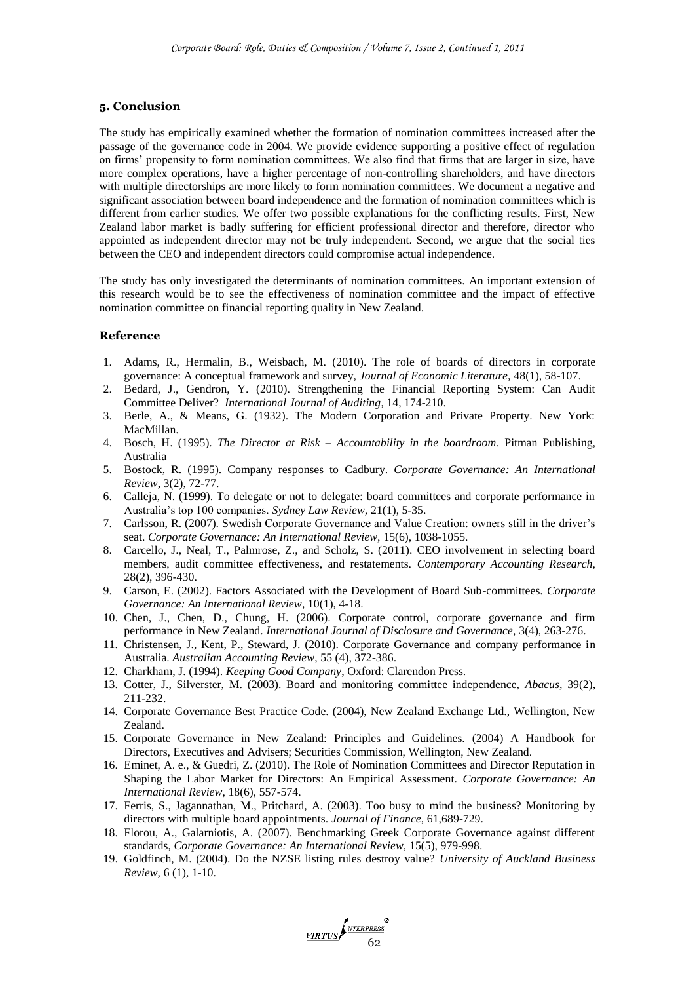#### **5. Conclusion**

The study has empirically examined whether the formation of nomination committees increased after the passage of the governance code in 2004. We provide evidence supporting a positive effect of regulation on firms' propensity to form nomination committees. We also find that firms that are larger in size, have more complex operations, have a higher percentage of non-controlling shareholders, and have directors with multiple directorships are more likely to form nomination committees. We document a negative and significant association between board independence and the formation of nomination committees which is different from earlier studies. We offer two possible explanations for the conflicting results. First, New Zealand labor market is badly suffering for efficient professional director and therefore, director who appointed as independent director may not be truly independent. Second, we argue that the social ties between the CEO and independent directors could compromise actual independence.

The study has only investigated the determinants of nomination committees. An important extension of this research would be to see the effectiveness of nomination committee and the impact of effective nomination committee on financial reporting quality in New Zealand.

#### **Reference**

- 1. Adams, R., Hermalin, B., Weisbach, M. (2010). The role of boards of directors in corporate governance: A conceptual framework and survey, *Journal of Economic Literature,* 48(1), 58-107.
- 2. Bedard, J., Gendron, Y. (2010). Strengthening the Financial Reporting System: Can Audit Committee Deliver? *International Journal of Auditing,* 14, 174-210.
- 3. Berle, A., & Means, G. (1932). The Modern Corporation and Private Property. New York: MacMillan.
- 4. Bosch, H. (1995). *The Director at Risk – Accountability in the boardroom*. Pitman Publishing, Australia
- 5. Bostock, R. (1995). Company responses to Cadbury. *Corporate Governance: An International Review*, 3(2), 72-77.
- 6. Calleja, N. (1999). To delegate or not to delegate: board committees and corporate performance in Australia's top 100 companies. *Sydney Law Review,* 21(1), 5-35.
- 7. Carlsson, R. (2007). Swedish Corporate Governance and Value Creation: owners still in the driver's seat. *Corporate Governance: An International Review,* 15(6), 1038-1055.
- 8. Carcello, J., Neal, T., Palmrose, Z., and Scholz, S. (2011). CEO involvement in selecting board members, audit committee effectiveness, and restatements. *Contemporary Accounting Research,*  28(2), 396-430.
- 9. Carson, E. (2002). Factors Associated with the Development of Board Sub-committees. *Corporate Governance: An International Review*, 10(1), 4-18.
- 10. Chen, J., Chen, D., Chung, H. (2006). Corporate control, corporate governance and firm performance in New Zealand. *International Journal of Disclosure and Governance,* 3(4), 263-276.
- 11. Christensen, J., Kent, P., Steward, J. (2010). Corporate Governance and company performance in Australia. *Australian Accounting Review*, 55 (4), 372-386.
- 12. Charkham, J. (1994). *Keeping Good Company*, Oxford: Clarendon Press.
- 13. Cotter, J., Silverster, M. (2003). Board and monitoring committee independence, *Abacus,* 39(2), 211-232.
- 14. Corporate Governance Best Practice Code. (2004), New Zealand Exchange Ltd., Wellington, New Zealand.
- 15. Corporate Governance in New Zealand: Principles and Guidelines. (2004) A Handbook for Directors, Executives and Advisers; Securities Commission, Wellington, New Zealand.
- 16. Eminet, A. e., & Guedri, Z. (2010). The Role of Nomination Committees and Director Reputation in Shaping the Labor Market for Directors: An Empirical Assessment. *Corporate Governance: An International Review*, 18(6), 557-574.
- 17. Ferris, S., Jagannathan, M., Pritchard, A. (2003). Too busy to mind the business? Monitoring by directors with multiple board appointments. *Journal of Finance,* 61,689-729.
- 18. Florou, A., Galarniotis, A. (2007). Benchmarking Greek Corporate Governance against different standards, *Corporate Governance: An International Review,* 15(5), 979-998.
- 19. Goldfinch, M. (2004). Do the NZSE listing rules destroy value? *University of Auckland Business Review,* 6 (1), 1-10.